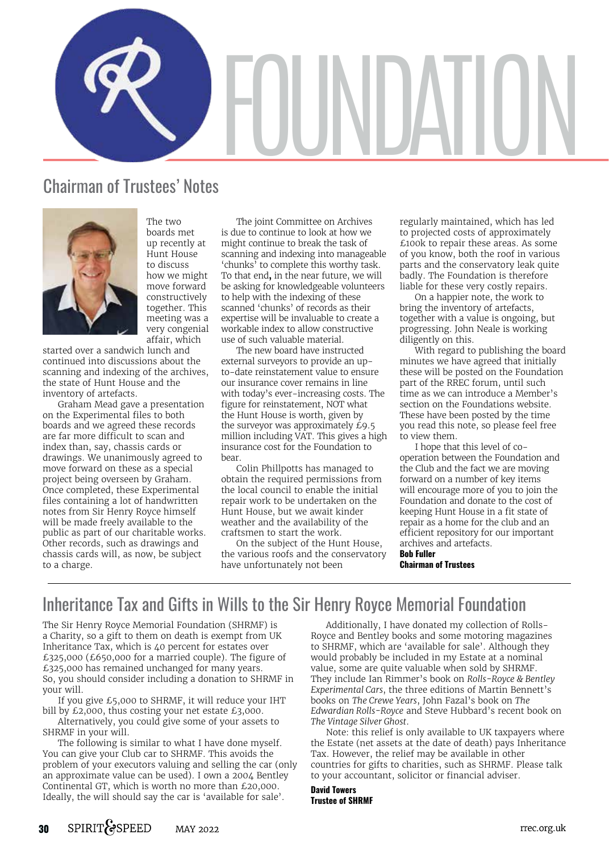

# Chairman of Trustees' Notes



boards met up recently at Hunt House to discuss how we might move forward constructively together. This meeting was a very congenial affair, which

The two

started over a sandwich lunch and continued into discussions about the scanning and indexing of the archives, the state of Hunt House and the inventory of artefacts.

Graham Mead gave a presentation on the Experimental files to both boards and we agreed these records are far more difficult to scan and index than, say, chassis cards or drawings. We unanimously agreed to move forward on these as a special project being overseen by Graham. Once completed, these Experimental files containing a lot of handwritten notes from Sir Henry Royce himself will be made freely available to the public as part of our charitable works. Other records, such as drawings and chassis cards will, as now, be subject to a charge.

The joint Committee on Archives is due to continue to look at how we might continue to break the task of scanning and indexing into manageable 'chunks' to complete this worthy task. To that end**,** in the near future, we will be asking for knowledgeable volunteers to help with the indexing of these scanned 'chunks' of records as their expertise will be invaluable to create a workable index to allow constructive use of such valuable material.

The new board have instructed external surveyors to provide an upto-date reinstatement value to ensure our insurance cover remains in line with today's ever-increasing costs. The figure for reinstatement, NOT what the Hunt House is worth, given by the surveyor was approximately £9.5 million including VAT. This gives a high insurance cost for the Foundation to bear.

Colin Phillpotts has managed to obtain the required permissions from the local council to enable the initial repair work to be undertaken on the Hunt House, but we await kinder weather and the availability of the craftsmen to start the work.

On the subject of the Hunt House, the various roofs and the conservatory have unfortunately not been

regularly maintained, which has led to projected costs of approximately £100k to repair these areas. As some of you know, both the roof in various parts and the conservatory leak quite badly. The Foundation is therefore liable for these very costly repairs.

On a happier note, the work to bring the inventory of artefacts, together with a value is ongoing, but progressing. John Neale is working diligently on this.

With regard to publishing the board minutes we have agreed that initially these will be posted on the Foundation part of the RREC forum, until such time as we can introduce a Member's section on the Foundations website. These have been posted by the time you read this note, so please feel free to view them.

I hope that this level of cooperation between the Foundation and the Club and the fact we are moving forward on a number of key items will encourage more of you to join the Foundation and donate to the cost of keeping Hunt House in a fit state of repair as a home for the club and an efficient repository for our important archives and artefacts.

**Bob Fuller Chairman of Trustees**

# Inheritance Tax and Gifts in Wills to the Sir Henry Royce Memorial Foundation

The Sir Henry Royce Memorial Foundation (SHRMF) is a Charity, so a gift to them on death is exempt from UK Inheritance Tax, which is 40 percent for estates over £325,000 (£650,000 for a married couple). The figure of £325,000 has remained unchanged for many years. So, you should consider including a donation to SHRMF in your will.

If you give £5,000 to SHRMF, it will reduce your IHT bill by £2,000, thus costing your net estate £3,000.

Alternatively, you could give some of your assets to SHRMF in your will.

The following is similar to what I have done myself. You can give your Club car to SHRMF. This avoids the problem of your executors valuing and selling the car (only an approximate value can be used). I own a 2004 Bentley Continental GT, which is worth no more than £20,000. Ideally, the will should say the car is 'available for sale'.

Additionally, I have donated my collection of Rolls-Royce and Bentley books and some motoring magazines to SHRMF, which are 'available for sale'. Although they would probably be included in my Estate at a nominal value, some are quite valuable when sold by SHRMF. They include Ian Rimmer's book on *Rolls-Royce & Bentley Experimental Cars*, the three editions of Martin Bennett's books on *The Crewe Years*, John Fazal's book on *The Edwardian Rolls-Royce* and Steve Hubbard's recent book on *The Vintage Silver Ghost*.

Note: this relief is only available to UK taxpayers where the Estate (net assets at the date of death) pays Inheritance Tax. However, the relief may be available in other countries for gifts to charities, such as SHRMF. Please talk to your accountant, solicitor or financial adviser.

## **David Towers Trustee of SHRMF**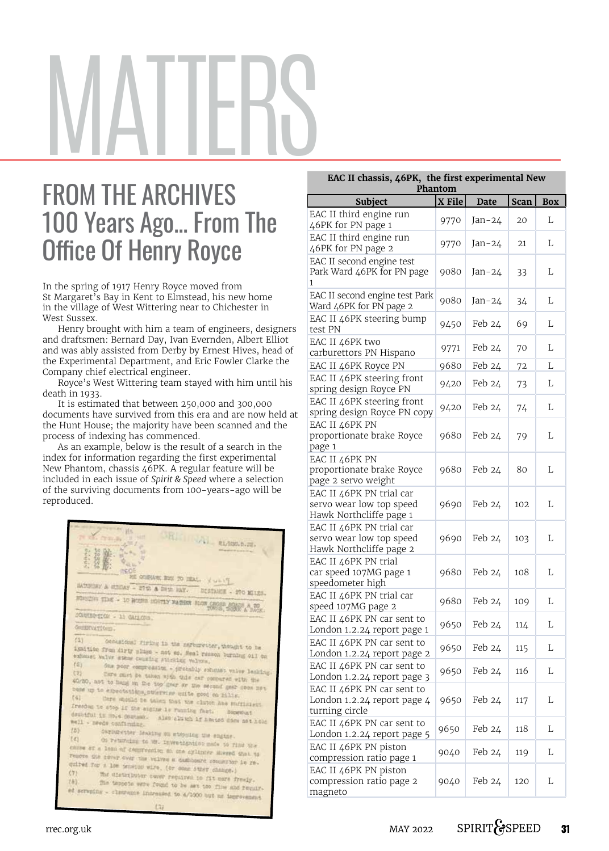# MATTERS

# FROM THE ARCHIVES 100 Years Ago... From The Office Of Henry Royce

In the spring of 1917 Henry Royce moved from St Margaret's Bay in Kent to Elmstead, his new home in the village of West Wittering near to Chichester in West Sussex.

Henry brought with him a team of engineers, designers and draftsmen: Bernard Day, Ivan Evernden, Albert Elliot and was ably assisted from Derby by Ernest Hives, head of the Experimental Department, and Eric Fowler Clarke the Company chief electrical engineer.

Royce's West Wittering team stayed with him until his death in 1933.

It is estimated that between 250,000 and 300,000 documents have survived from this era and are now held at the Hunt House; the majority have been scanned and the process of indexing has commenced.

As an example, below is the result of a search in the index for information regarding the first experimental New Phantom, chassis 46PK. A regular feature will be included in each issue of *Spirit & Speed* where a selection of the surviving documents from 100-years-ago will be reproduced.

| <b>JALE LINGHAM</b>                                                                                                   |
|-----------------------------------------------------------------------------------------------------------------------|
| RL-100.5.UZ.                                                                                                          |
|                                                                                                                       |
| <b>ITEC</b>                                                                                                           |
| CONFIDENTIAL TO HEAL . Y WHITE                                                                                        |
| HATCHDAY & STORY - 27th & SHIP HAY. DISTANCE - 270 MILES.                                                             |
| RUBIERS TIME - 10 HOURS HOUTEY FATHER SLOW CROSS SOATS & DOCK.                                                        |
|                                                                                                                       |
| CONNERTION - 11 GALLONS.                                                                                              |
| GHIERVATIONS-                                                                                                         |
| (1)                                                                                                                   |
| Occasional firing in the earburetter, thought to be<br>ignition from dirty plags - not so. Heal resson burning oil on |
| exhaust valve etems counting sticking valves.<br>(2)                                                                  |
| One poor compression - probably exhaust valve leaking.<br>(8)                                                         |
| Care must be taken with this car compared with the<br>40/20, not to hang on the top gear or the second gear sees not  |
| come up to expectations, stervine quite good on hills.                                                                |
| [4]<br>Care should be taken that the clutch has sufficient                                                            |
| freedom to stop if the engine is running fast.<br>Bocewart                                                            |
| doubtful in most Common. Also clutch if hemted does not hold<br>well - needs confirming.                              |
| (5)<br>Carturetter leaking on stopping the engine.                                                                    |
| (4)<br>On returning to Mr. investigation made to find the                                                             |
| cause of a loss of compression on ane cylinter stered that to                                                         |
| remove the cover over the valves a damitoard commerter is re-                                                         |
| quired for a low tension wire, (or comm other change.)<br>(7)                                                         |
| The distributor cover required to fit more freely.<br>LB<br>The teppons were found to be set too flie and requir-     |
| ed scruping - clearance increased to 4/1000 but no improvement                                                        |
| 131                                                                                                                   |
|                                                                                                                       |

| EAC II chassis, 46PK, the first experimental New<br>Phantom                     |        |             |             |            |  |
|---------------------------------------------------------------------------------|--------|-------------|-------------|------------|--|
| <b>Subject</b>                                                                  | X File | <b>Date</b> | <b>Scan</b> | <b>Box</b> |  |
| EAC II third engine run<br>46PK for PN page 1                                   | 9770   | Jan-24      | 20          | L          |  |
| EAC II third engine run<br>46PK for PN page 2                                   | 9770   | $Jan-24$    | 21          | L          |  |
| EAC II second engine test<br>Park Ward 46PK for PN page<br>$\mathbf{1}$         | 9080   | Jan-24      | 33          | L          |  |
| EAC II second engine test Park<br>Ward 46PK for PN page 2                       | 9080   | Jan-24      | 34          | L          |  |
| EAC II 46PK steering bump<br>test PN                                            | 9450   | Feb 24      | 69          | L          |  |
| EAC II 46PK two<br>carburettors PN Hispano                                      | 9771   | Feb 24      | 70          | L          |  |
| EAC II 46PK Royce PN                                                            | 9680   | Feb 24      | 72          | L          |  |
| EAC II 46PK steering front<br>spring design Royce PN                            | 9420   | Feb 24      | 73          | L          |  |
| EAC II 46PK steering front<br>spring design Royce PN copy                       | 9420   | Feb 24      | 74          | L          |  |
| EAC II 46PK PN<br>proportionate brake Royce<br>page 1                           | 9680   | Feb 24      | 79          | L          |  |
| EAC II 46PK PN<br>proportionate brake Royce<br>page 2 servo weight              | 9680   | Feb 24      | 80          | L          |  |
| EAC II 46PK PN trial car<br>servo wear low top speed<br>Hawk Northcliffe page 1 | 9690   | Feb 24      | 102         | L          |  |
| EAC II 46PK PN trial car<br>servo wear low top speed<br>Hawk Northcliffe page 2 | 9690   | Feb 24      | 103         | L          |  |
| EAC II 46PK PN trial<br>car speed 107MG page 1<br>speedometer high              | 9680   | Feb 24      | 108         | L          |  |
| EAC II 46PK PN trial car<br>speed 107MG page 2                                  | 9680   | Feb 24      | 109         | L          |  |
| EAC II 46PK PN car sent to<br>London 1.2.24 report page 1                       | 9650   | Feb 24      | 114         | L          |  |
| EAC II 46PK PN car sent to<br>London 1.2.24 report page 2                       | 9650   | Feb 24      | 115         | L          |  |
| EAC II 46PK PN car sent to<br>London 1.2.24 report page 3                       | 9650   | Feb 24      | 116         | L          |  |
| EAC II 46PK PN car sent to<br>London 1.2.24 report page 4<br>turning circle     | 9650   | Feb 24      | 117         | L          |  |
| EAC II 46PK PN car sent to<br>London 1.2.24 report page 5                       | 9650   | Feb 24      | 118         | L          |  |
| EAC II 46PK PN piston<br>compression ratio page 1                               | 9040   | Feb 24      | 119         | L          |  |
| EAC II 46PK PN piston<br>compression ratio page 2<br>magneto                    | 9040   | Feb 24      | 120         | L          |  |